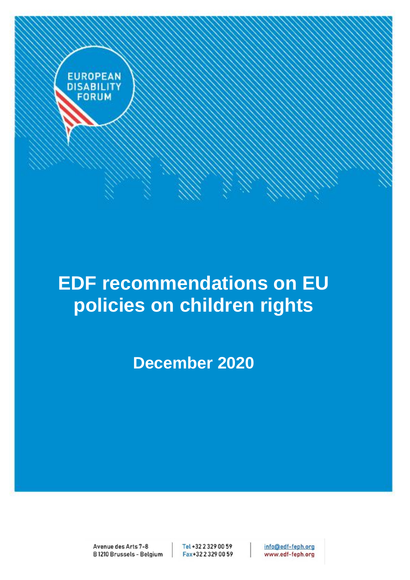

# **EDF recommendations on EU policies on children rights**

**December 2020**

Avenue des Arts 7-8 B1210 Brussels - Belgium Tel +32 2 329 00 59 Fax+32 2 329 00 59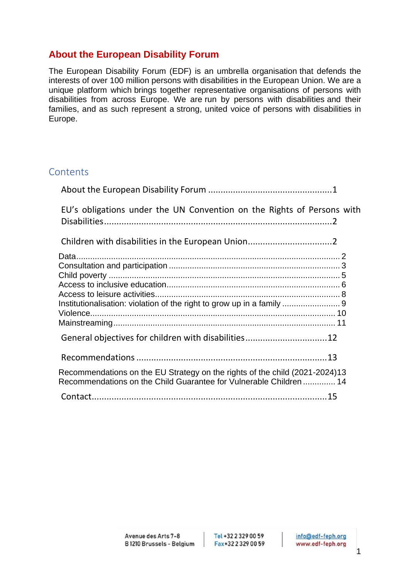# <span id="page-1-0"></span>**About the European Disability Forum**

The European Disability Forum (EDF) is an umbrella organisation that defends the interests of over 100 million persons with disabilities in the European Union. We are a unique platform which brings together representative organisations of persons with disabilities from across Europe. We are run by persons with disabilities and their families, and as such represent a strong, united voice of persons with disabilities in Europe.

# **Contents**

| EU's obligations under the UN Convention on the Rights of Persons with                                                                            |  |
|---------------------------------------------------------------------------------------------------------------------------------------------------|--|
|                                                                                                                                                   |  |
|                                                                                                                                                   |  |
|                                                                                                                                                   |  |
|                                                                                                                                                   |  |
|                                                                                                                                                   |  |
|                                                                                                                                                   |  |
| Institutionalisation: violation of the right to grow up in a family  9                                                                            |  |
|                                                                                                                                                   |  |
|                                                                                                                                                   |  |
| General objectives for children with disabilities12                                                                                               |  |
|                                                                                                                                                   |  |
|                                                                                                                                                   |  |
| Recommendations on the EU Strategy on the rights of the child (2021-2024)13<br>Recommendations on the Child Guarantee for Vulnerable Children  14 |  |
|                                                                                                                                                   |  |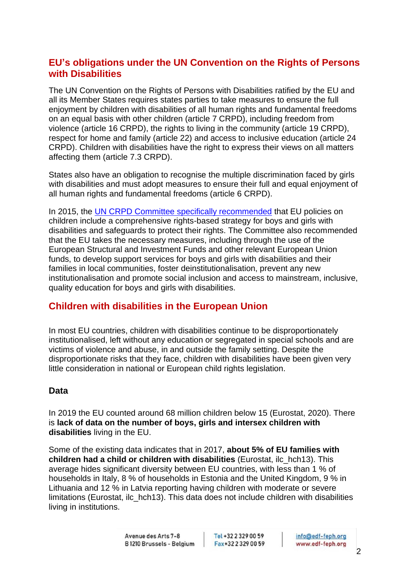# <span id="page-2-0"></span>**EU's obligations under the UN Convention on the Rights of Persons with Disabilities**

The UN Convention on the Rights of Persons with Disabilities ratified by the EU and all its Member States requires states parties to take measures to ensure the full enjoyment by children with disabilities of all human rights and fundamental freedoms on an equal basis with other children (article 7 CRPD), including freedom from violence (article 16 CRPD), the rights to living in the community (article 19 CRPD), respect for home and family (article 22) and access to inclusive education (article 24 CRPD). Children with disabilities have the right to express their views on all matters affecting them (article 7.3 CRPD).

States also have an obligation to recognise the multiple discrimination faced by girls with disabilities and must adopt measures to ensure their full and equal enjoyment of all human rights and fundamental freedoms (article 6 CRPD).

In 2015, the [UN CRPD Committee specifically recommended](https://daccess-ods.un.org/TMP/5245113.37280273.html) that EU policies on children include a comprehensive rights-based strategy for boys and girls with disabilities and safeguards to protect their rights. The Committee also recommended that the EU takes the necessary measures, including through the use of the European Structural and Investment Funds and other relevant European Union funds, to develop support services for boys and girls with disabilities and their families in local communities, foster deinstitutionalisation, prevent any new institutionalisation and promote social inclusion and access to mainstream, inclusive, quality education for boys and girls with disabilities.

# <span id="page-2-1"></span>**Children with disabilities in the European Union**

In most EU countries, children with disabilities continue to be disproportionately institutionalised, left without any education or segregated in special schools and are victims of violence and abuse, in and outside the family setting. Despite the disproportionate risks that they face, children with disabilities have been given very little consideration in national or European child rights legislation.

## <span id="page-2-2"></span>**Data**

In 2019 the EU counted around 68 million children below 15 (Eurostat, 2020). There is **lack of data on the number of boys, girls and intersex children with disabilities** living in the EU.

Some of the existing data indicates that in 2017, **about 5% of EU families with children had a child or children with disabilities** (Eurostat, ilc\_hch13). This average hides significant diversity between EU countries, with less than 1 % of households in Italy, 8 % of households in Estonia and the United Kingdom, 9 % in Lithuania and 12 % in Latvia reporting having children with moderate or severe limitations (Eurostat, ilc\_hch13). This data does not include children with disabilities living in institutions.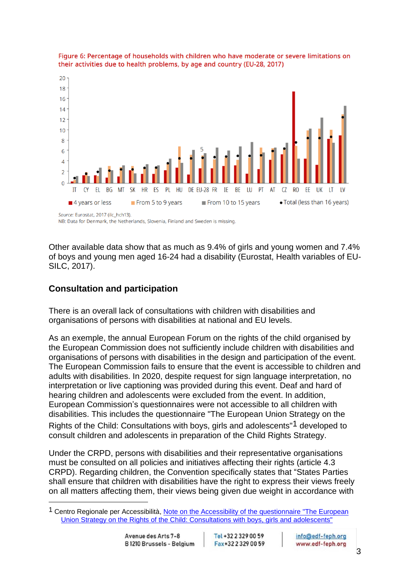



NB: Data for Denmark, the Netherlands, Slovenia, Finland and Sweden is missing

Other available data show that as much as 9.4% of girls and young women and 7.4% of boys and young men aged 16-24 had a disability (Eurostat, Health variables of EU-SILC, 2017).

#### <span id="page-3-0"></span>**Consultation and participation**

There is an overall lack of consultations with children with disabilities and organisations of persons with disabilities at national and EU levels.

As an exemple, the annual European Forum on the rights of the child organised by the European Commission does not sufficiently include children with disabilities and organisations of persons with disabilities in the design and participation of the event. The European Commission fails to ensure that the event is accessible to children and adults with disabilities. In 2020, despite request for sign language interpretation, no interpretation or live captioning was provided during this event. Deaf and hard of hearing children and adolescents were excluded from the event. In addition, European Commission's questionnaires were not accessible to all children with disabilities. This includes the questionnaire "The European Union Strategy on the Rights of the Child: Consultations with boys, girls and adolescents"1 developed to consult children and adolescents in preparation of the Child Rights Strategy.

Under the CRPD, persons with disabilities and their representative organisations must be consulted on all policies and initiatives affecting their rights (article 4.3 CRPD). Regarding children, the Convention specifically states that "States Parties shall ensure that children with disabilities have the right to express their views freely on all matters affecting them, their views being given due weight in accordance with

Tel +32 2 329 00 59 Fax+32 2 329 00 59

<sup>&</sup>lt;sup>1</sup> Centro Regionale per Accessibilità, Note on the Accessibility of the questionnaire "The European [Union Strategy on the Rights of the Child: Consultations with boys, girls and adolescents"](https://www.ledha.it/allegati/LED_t2_notizie_allegati/3899/FILE_Allegato_ENG_Accessibilita_Questionario_CRABA-LEDHA.pdf)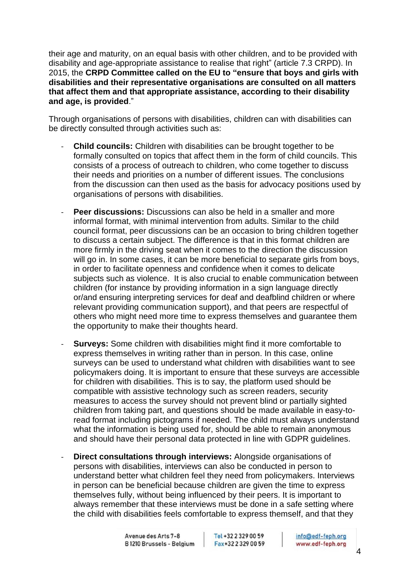their age and maturity, on an equal basis with other children, and to be provided with disability and age-appropriate assistance to realise that right" (article 7.3 CRPD). In 2015, the **CRPD Committee called on the EU to "ensure that boys and girls with disabilities and their representative organisations are consulted on all matters that affect them and that appropriate assistance, according to their disability and age, is provided**."

Through organisations of persons with disabilities, children can with disabilities can be directly consulted through activities such as:

- **Child councils:** Children with disabilities can be brought together to be formally consulted on topics that affect them in the form of child councils. This consists of a process of outreach to children, who come together to discuss their needs and priorities on a number of different issues. The conclusions from the discussion can then used as the basis for advocacy positions used by organisations of persons with disabilities.
- **Peer discussions:** Discussions can also be held in a smaller and more informal format, with minimal intervention from adults. Similar to the child council format, peer discussions can be an occasion to bring children together to discuss a certain subject. The difference is that in this format children are more firmly in the driving seat when it comes to the direction the discussion will go in. In some cases, it can be more beneficial to separate girls from boys, in order to facilitate openness and confidence when it comes to delicate subjects such as violence. It is also crucial to enable communication between children (for instance by providing information in a sign language directly or/and ensuring interpreting services for deaf and deafblind children or where relevant providing communication support), and that peers are respectful of others who might need more time to express themselves and guarantee them the opportunity to make their thoughts heard.
- **Surveys:** Some children with disabilities might find it more comfortable to express themselves in writing rather than in person. In this case, online surveys can be used to understand what children with disabilities want to see policymakers doing. It is important to ensure that these surveys are accessible for children with disabilities. This is to say, the platform used should be compatible with assistive technology such as screen readers, security measures to access the survey should not prevent blind or partially sighted children from taking part, and questions should be made available in easy-toread format including pictograms if needed. The child must always understand what the information is being used for, should be able to remain anonymous and should have their personal data protected in line with GDPR guidelines.
- **Direct consultations through interviews:** Alongside organisations of persons with disabilities, interviews can also be conducted in person to understand better what children feel they need from policymakers. Interviews in person can be beneficial because children are given the time to express themselves fully, without being influenced by their peers. It is important to always remember that these interviews must be done in a safe setting where the child with disabilities feels comfortable to express themself, and that they

Tel +32 2 329 00 59 Fax+32 2 329 00 59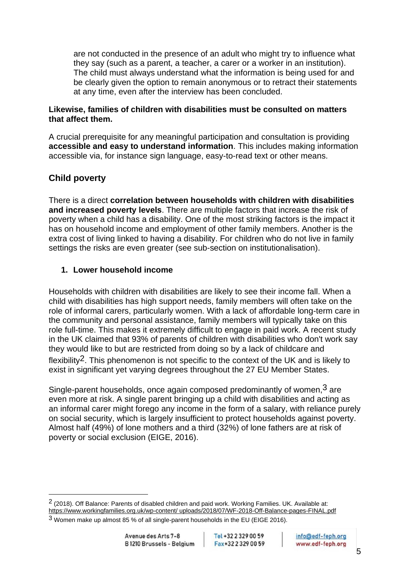are not conducted in the presence of an adult who might try to influence what they say (such as a parent, a teacher, a carer or a worker in an institution). The child must always understand what the information is being used for and be clearly given the option to remain anonymous or to retract their statements at any time, even after the interview has been concluded.

#### **Likewise, families of children with disabilities must be consulted on matters that affect them.**

A crucial prerequisite for any meaningful participation and consultation is providing **accessible and easy to understand information**. This includes making information accessible via, for instance sign language, easy-to-read text or other means.

# <span id="page-5-0"></span>**Child poverty**

There is a direct **correlation between households with children with disabilities and increased poverty levels**. There are multiple factors that increase the risk of poverty when a child has a disability. One of the most striking factors is the impact it has on household income and employment of other family members. Another is the extra cost of living linked to having a disability. For children who do not live in family settings the risks are even greater (see sub-section on institutionalisation).

#### **1. Lower household income**

Households with children with disabilities are likely to see their income fall. When a child with disabilities has high support needs, family members will often take on the role of informal carers, particularly women. With a lack of affordable long-term care in the community and personal assistance, family members will typically take on this role full-time. This makes it extremely difficult to engage in paid work. A recent study in the UK claimed that 93% of parents of children with disabilities who don't work say they would like to but are restricted from doing so by a lack of childcare and flexibility2. This phenomenon is not specific to the context of the UK and is likely to exist in significant yet varying degrees throughout the 27 EU Member States.

Single-parent households, once again composed predominantly of women,  $3$  are even more at risk. A single parent bringing up a child with disabilities and acting as an informal carer might forego any income in the form of a salary, with reliance purely on social security, which is largely insufficient to protect households against poverty. Almost half (49%) of lone mothers and a third (32%) of lone fathers are at risk of poverty or social exclusion (EIGE, 2016).

<sup>2</sup> (2018). Off Balance: Parents of disabled children and paid work. Working Families. UK. Available at: https://www.workingfamilies.org.uk/wp-content/ uploads/2018/07/WF-2018-Off-Balance-pages-FINAL.pdf

<sup>3</sup> Women make up almost 85 % of all single-parent households in the EU (EIGE 2016).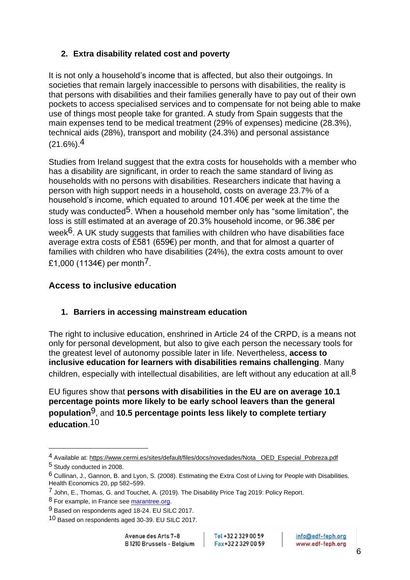# **2. Extra disability related cost and poverty**

It is not only a household's income that is affected, but also their outgoings. In societies that remain largely inaccessible to persons with disabilities, the reality is that persons with disabilities and their families generally have to pay out of their own pockets to access specialised services and to compensate for not being able to make use of things most people take for granted. A study from Spain suggests that the main expenses tend to be medical treatment (29% of expenses) medicine (28.3%), technical aids (28%), transport and mobility (24.3%) and personal assistance  $(21.6\%)$ .<sup>4</sup>

Studies from Ireland suggest that the extra costs for households with a member who has a disability are significant, in order to reach the same standard of living as households with no persons with disabilities. Researchers indicate that having a person with high support needs in a household, costs on average 23.7% of a household's income, which equated to around 101.40€ per week at the time the study was conducted<sup>5</sup>. When a household member only has "some limitation", the loss is still estimated at an average of 20.3% household income, or 96.38€ per week $6$ . A UK study suggests that families with children who have disabilities face average extra costs of £581 (659€) per month, and that for almost a quarter of families with children who have disabilities (24%), the extra costs amount to over £1,000 (1134€) per month<sup>7</sup>.

## <span id="page-6-0"></span>**Access to inclusive education**

#### **1. Barriers in accessing mainstream education**

The right to inclusive education, enshrined in Article 24 of the CRPD, is a means not only for personal development, but also to give each person the necessary tools for the greatest level of autonomy possible later in life. Nevertheless, **access to inclusive education for learners with disabilities remains challenging**. Many children, especially with intellectual disabilities, are left without any education at all.<sup>8</sup>

EU figures show that **persons with disabilities in the EU are on average 10.1 percentage points more likely to be early school leavers than the general population**9, and **10.5 percentage points less likely to complete tertiary education**.10

Tel +32 2 329 00 59 Fax+32 2 329 00 59

<sup>4</sup> Available at: https://www.cermi.es/sites/default/files/docs/novedades/Nota\_ OED\_Especial\_Pobreza.pdf 5 Study conducted in 2008.

<sup>6</sup> Cullinan, J., Gannon, B. and Lyon, S. (2008). Estimating the Extra Cost of Living for People with Disabilities. Health Economics 20, pp 582–599.

<sup>7</sup> John, E., Thomas, G. and Touchet, A. (2019). The Disability Price Tag 2019: Policy Report.

<sup>8</sup> For example, in France se[e marantree.org.](http://marantree.org/)

<sup>9</sup> Based on respondents aged 18-24. EU SILC 2017.

<sup>10</sup> Based on respondents aged 30-39. EU SILC 2017.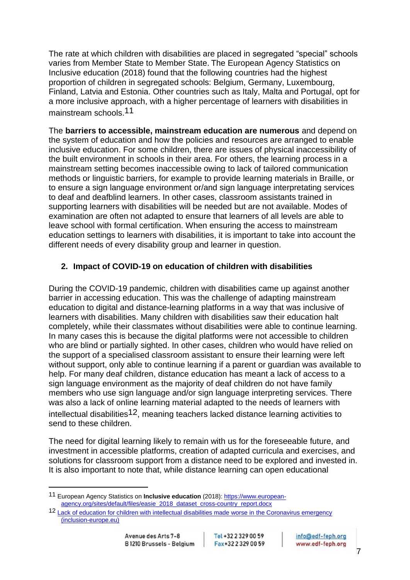The rate at which children with disabilities are placed in segregated "special" schools varies from Member State to Member State. The European Agency Statistics on Inclusive education (2018) found that the following countries had the highest proportion of children in segregated schools: Belgium, Germany, Luxembourg, Finland, Latvia and Estonia. Other countries such as Italy, Malta and Portugal, opt for a more inclusive approach, with a higher percentage of learners with disabilities in mainstream schools.11

The **barriers to accessible, mainstream education are numerous** and depend on the system of education and how the policies and resources are arranged to enable inclusive education. For some children, there are issues of physical inaccessibility of the built environment in schools in their area. For others, the learning process in a mainstream setting becomes inaccessible owing to lack of tailored communication methods or linguistic barriers, for example to provide learning materials in Braille, or to ensure a sign language environment or/and sign language interpretating services to deaf and deafblind learners. In other cases, classroom assistants trained in supporting learners with disabilities will be needed but are not available. Modes of examination are often not adapted to ensure that learners of all levels are able to leave school with formal certification. When ensuring the access to mainstream education settings to learners with disabilities, it is important to take into account the different needs of every disability group and learner in question.

#### **2. Impact of COVID-19 on education of children with disabilities**

During the COVID-19 pandemic, children with disabilities came up against another barrier in accessing education. This was the challenge of adapting mainstream education to digital and distance-learning platforms in a way that was inclusive of learners with disabilities. Many children with disabilities saw their education halt completely, while their classmates without disabilities were able to continue learning. In many cases this is because the digital platforms were not accessible to children who are blind or partially sighted. In other cases, children who would have relied on the support of a specialised classroom assistant to ensure their learning were left without support, only able to continue learning if a parent or guardian was available to help. For many deaf children, distance education has meant a lack of access to a sign language environment as the majority of deaf children do not have family members who use sign language and/or sign language interpreting services. There was also a lack of online learning material adapted to the needs of learners with intellectual disabilities<sup>12</sup>, meaning teachers lacked distance learning activities to send to these children.

The need for digital learning likely to remain with us for the foreseeable future, and investment in accessible platforms, creation of adapted curricula and exercises, and solutions for classroom support from a distance need to be explored and invested in. It is also important to note that, while distance learning can open educational

Tel +32 2 329 00 59 Fax+32 2 329 00 59

<sup>11</sup> European Agency Statistics on **Inclusive education** (2018)[: https://www.european](https://www.european-agency.org/sites/default/files/easie_2018_dataset_cross-country_report.docx)[agency.org/sites/default/files/easie\\_2018\\_dataset\\_cross-country\\_report.docx](https://www.european-agency.org/sites/default/files/easie_2018_dataset_cross-country_report.docx)

<sup>12</sup> [Lack of education for children with intellectual disabilities made worse in](https://www.inclusion-europe.eu/briefing-on-education-coronavirus/) the Coronavirus emergency [\(inclusion-europe.eu\)](https://www.inclusion-europe.eu/briefing-on-education-coronavirus/)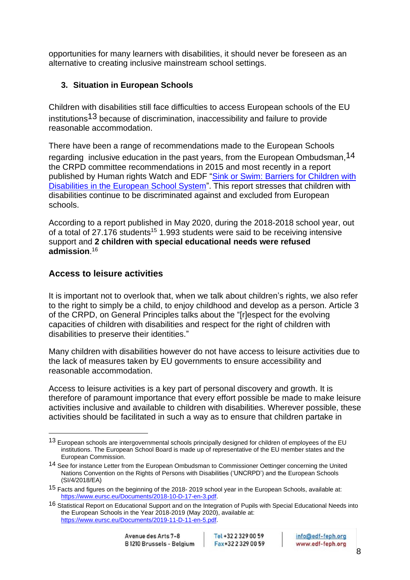opportunities for many learners with disabilities, it should never be foreseen as an alternative to creating inclusive mainstream school settings.

## **3. Situation in European Schools**

Children with disabilities still face difficulties to access European schools of the EU institutions13 because of discrimination, inaccessibility and failure to provide reasonable accommodation.

There have been a range of recommendations made to the European Schools regarding inclusive education in the past years, from the European Ombudsman, <sup>14</sup> the CRPD committee recommendations in 2015 and most recently in a report published by Human rights Watch and EDF "Sink or Swim: Barriers for Children with [Disabilities in the European School System"](https://www.hrw.org/report/2018/12/04/sink-or-swim/barriers-children-disabilities-european-school-system). This report stresses that children with disabilities continue to be discriminated against and excluded from European schools.

According to a report published in May 2020, during the 2018-2018 school year, out of a total of 27.176 students<sup>15</sup> 1.993 students were said to be receiving intensive support and **2 children with special educational needs were refused admission**. 16

# <span id="page-8-0"></span>**Access to leisure activities**

It is important not to overlook that, when we talk about children's rights, we also refer to the right to simply be a child, to enjoy childhood and develop as a person. Article 3 of the CRPD, on General Principles talks about the "[r]espect for the evolving capacities of children with disabilities and respect for the right of children with disabilities to preserve their identities."

Many children with disabilities however do not have access to leisure activities due to the lack of measures taken by EU governments to ensure accessibility and reasonable accommodation.

Access to leisure activities is a key part of personal discovery and growth. It is therefore of paramount importance that every effort possible be made to make leisure activities inclusive and available to children with disabilities. Wherever possible, these activities should be facilitated in such a way as to ensure that children partake in

<sup>13</sup> European schools are intergovernmental schools principally designed for children of employees of the EU institutions. The European School Board is made up of representative of the EU member states and the European Commission.

<sup>14</sup> See for instance Letter from the European Ombudsman to Commissioner Oettinger concerning the United Nations Convention on the Rights of Persons with Disabilities ('UNCRPD') and the European Schools (SI/4/2018/EA)

<sup>15</sup> Facts and figures on the beginning of the 2018- 2019 school year in the European Schools, available at: [https://www.eursc.eu/Documents/2018-10-D-17-en-3.pdf.](https://www.eursc.eu/Documents/2018-10-D-17-en-3.pdf) 

<sup>16</sup> Statistical Report on Educational Support and on the Integration of Pupils with Special Educational Needs into the European Schools in the Year 2018-2019 (May 2020), available at: [https://www.eursc.eu/Documents/2019-11-D-11-en-5.pdf.](https://www.eursc.eu/Documents/2019-11-D-11-en-5.pdf)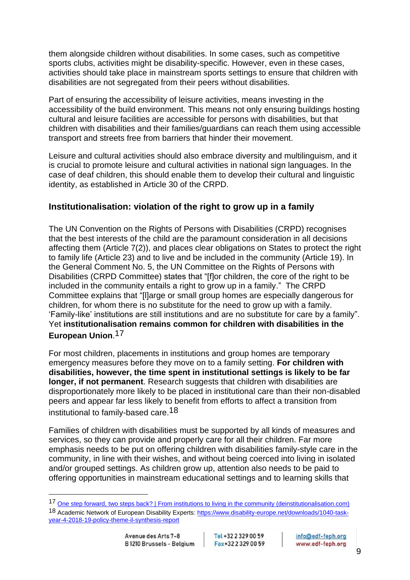them alongside children without disabilities. In some cases, such as competitive sports clubs, activities might be disability-specific. However, even in these cases, activities should take place in mainstream sports settings to ensure that children with disabilities are not segregated from their peers without disabilities.

Part of ensuring the accessibility of leisure activities, means investing in the accessibility of the build environment. This means not only ensuring buildings hosting cultural and leisure facilities are accessible for persons with disabilities, but that children with disabilities and their families/guardians can reach them using accessible transport and streets free from barriers that hinder their movement.

Leisure and cultural activities should also embrace diversity and multilinguism, and it is crucial to promote leisure and cultural activities in national sign languages. In the case of deaf children, this should enable them to develop their cultural and linguistic identity, as established in Article 30 of the CRPD.

## <span id="page-9-0"></span>**Institutionalisation: violation of the right to grow up in a family**

The UN Convention on the Rights of Persons with Disabilities (CRPD) recognises that the best interests of the child are the paramount consideration in all decisions affecting them (Article 7(2)), and places clear obligations on States to protect the right to family life (Article 23) and to live and be included in the community (Article 19). In the General Comment No. 5, the UN Committee on the Rights of Persons with Disabilities (CRPD Committee) states that "[f]or children, the core of the right to be included in the community entails a right to grow up in a family." The CRPD Committee explains that "[l]arge or small group homes are especially dangerous for children, for whom there is no substitute for the need to grow up with a family. 'Family-like' institutions are still institutions and are no substitute for care by a family". Yet **institutionalisation remains common for children with disabilities in the European Union**.17

For most children, placements in institutions and group homes are temporary emergency measures before they move on to a family setting. **For children with disabilities, however, the time spent in institutional settings is likely to be far longer, if not permanent**. Research suggests that children with disabilities are disproportionately more likely to be placed in institutional care than their non-disabled peers and appear far less likely to benefit from efforts to affect a transition from institutional to family-based care.18

Families of children with disabilities must be supported by all kinds of measures and services, so they can provide and properly care for all their children. Far more emphasis needs to be put on offering children with disabilities family-style care in the community, in line with their wishes, and without being coerced into living in isolated and/or grouped settings. As children grow up, attention also needs to be paid to offering opportunities in mainstream educational settings and to learning skills that

Tel +32 2 329 00 59 Fax+32 2 329 00 59

<sup>17</sup> One step forward, two steps back? | [From institutions to living in the community \(deinstitutionalisation.com\)](https://deinstitutionalisation.com/2020/05/29/one-step-forward-two-steps-back/)

<sup>18</sup> Academic Network of European Disability Experts[: https://www.disability-europe.net/downloads/1040-task](https://www.disability-europe.net/downloads/1040-task-year-4-2018-19-policy-theme-il-synthesis-report)[year-4-2018-19-policy-theme-il-synthesis-report](https://www.disability-europe.net/downloads/1040-task-year-4-2018-19-policy-theme-il-synthesis-report)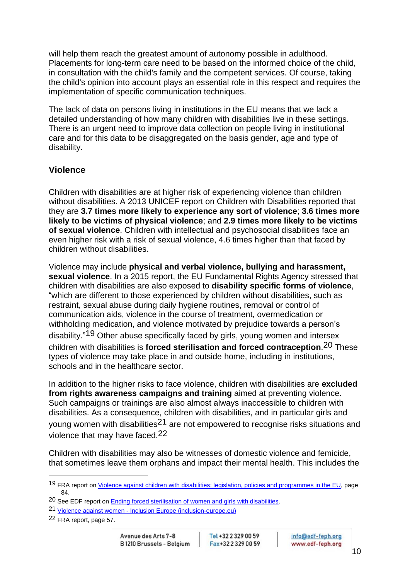will help them reach the greatest amount of autonomy possible in adulthood. Placements for long-term care need to be based on the informed choice of the child, in consultation with the child's family and the competent services. Of course, taking the child's opinion into account plays an essential role in this respect and requires the implementation of specific communication techniques.

The lack of data on persons living in institutions in the EU means that we lack a detailed understanding of how many children with disabilities live in these settings. There is an urgent need to improve data collection on people living in institutional care and for this data to be disaggregated on the basis gender, age and type of disability.

#### <span id="page-10-0"></span>**Violence**

Children with disabilities are at higher risk of experiencing violence than children without disabilities. A 2013 UNICEF report on Children with Disabilities reported that they are **3.7 times more likely to experience any sort of violence**; **3.6 times more likely to be victims of physical violence**; and **2.9 times more likely to be victims of sexual violence**. Children with intellectual and psychosocial disabilities face an even higher risk with a risk of sexual violence, 4.6 times higher than that faced by children without disabilities.

Violence may include **physical and verbal violence, bullying and harassment, sexual violence**. In a 2015 report, the EU Fundamental Rights Agency stressed that children with disabilities are also exposed to **disability specific forms of violence**, "which are different to those experienced by children without disabilities, such as restraint, sexual abuse during daily hygiene routines, removal or control of communication aids, violence in the course of treatment, overmedication or withholding medication, and violence motivated by prejudice towards a person's disability."19 Other abuse specifically faced by girls, young women and intersex children with disabilities is **forced sterilisation and forced contraception**.20 These types of violence may take place in and outside home, including in institutions, schools and in the healthcare sector.

In addition to the higher risks to face violence, children with disabilities are **excluded from rights awareness campaigns and training** aimed at preventing violence. Such campaigns or trainings are also almost always inaccessible to children with disabilities. As a consequence, children with disabilities, and in particular girls and young women with disabilities<sup>21</sup> are not empowered to recognise risks situations and violence that may have faced.22

Children with disabilities may also be witnesses of domestic violence and femicide, that sometimes leave them orphans and impact their mental health. This includes the

<sup>19</sup> FRA report o[n Violence against children with disabilities: legislation, policies and programmes in the EU,](https://fra.europa.eu/sites/default/files/fra_uploads/fra-2015-violence-against-children-with-disabilities_en.pdf) page 84.

<sup>20</sup> See EDF report on [Ending forced sterilisation of women and girls with disabilities.](http://www.edf-feph.org/sites/default/files/edf_forced-sterilisation_8-accessible.pdf)

<sup>21</sup> Violence against women - [Inclusion Europe \(inclusion-europe.eu\)](https://www.inclusion-europe.eu/violence-against-women-with-intellectual-disabilities/)

<sup>22</sup> FRA report, page 57.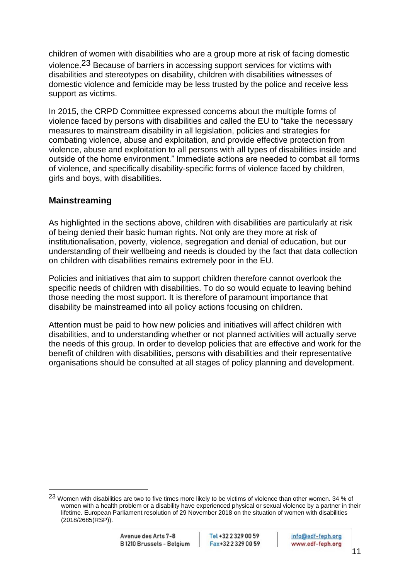children of women with disabilities who are a group more at risk of facing domestic violence.23 Because of barriers in accessing support services for victims with disabilities and stereotypes on disability, children with disabilities witnesses of domestic violence and femicide may be less trusted by the police and receive less support as victims.

In 2015, the CRPD Committee expressed concerns about the multiple forms of violence faced by persons with disabilities and called the EU to "take the necessary measures to mainstream disability in all legislation, policies and strategies for combating violence, abuse and exploitation, and provide effective protection from violence, abuse and exploitation to all persons with all types of disabilities inside and outside of the home environment." Immediate actions are needed to combat all forms of violence, and specifically disability-specific forms of violence faced by children, girls and boys, with disabilities.

#### <span id="page-11-0"></span>**Mainstreaming**

As highlighted in the sections above, children with disabilities are particularly at risk of being denied their basic human rights. Not only are they more at risk of institutionalisation, poverty, violence, segregation and denial of education, but our understanding of their wellbeing and needs is clouded by the fact that data collection on children with disabilities remains extremely poor in the EU.

Policies and initiatives that aim to support children therefore cannot overlook the specific needs of children with disabilities. To do so would equate to leaving behind those needing the most support. It is therefore of paramount importance that disability be mainstreamed into all policy actions focusing on children.

Attention must be paid to how new policies and initiatives will affect children with disabilities, and to understanding whether or not planned activities will actually serve the needs of this group. In order to develop policies that are effective and work for the benefit of children with disabilities, persons with disabilities and their representative organisations should be consulted at all stages of policy planning and development.

<sup>&</sup>lt;sup>23</sup> Women with disabilities are two to five times more likely to be victims of violence than other women. 34 % of women with a health problem or a disability have experienced physical or sexual violence by a partner in their lifetime. European Parliament resolution of 29 November 2018 on the situation of women with disabilities (2018/2685(RSP)).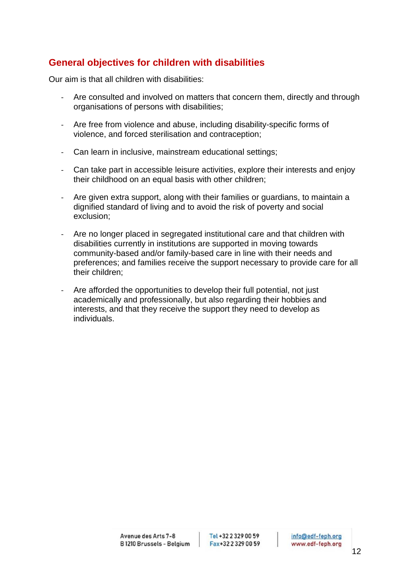# <span id="page-12-0"></span>**General objectives for children with disabilities**

Our aim is that all children with disabilities:

- Are consulted and involved on matters that concern them, directly and through organisations of persons with disabilities;
- Are free from violence and abuse, including disability-specific forms of violence, and forced sterilisation and contraception;
- Can learn in inclusive, mainstream educational settings;
- Can take part in accessible leisure activities, explore their interests and enjoy their childhood on an equal basis with other children;
- Are given extra support, along with their families or guardians, to maintain a dignified standard of living and to avoid the risk of poverty and social exclusion;
- Are no longer placed in segregated institutional care and that children with disabilities currently in institutions are supported in moving towards community-based and/or family-based care in line with their needs and preferences; and families receive the support necessary to provide care for all their children;
- Are afforded the opportunities to develop their full potential, not just academically and professionally, but also regarding their hobbies and interests, and that they receive the support they need to develop as individuals.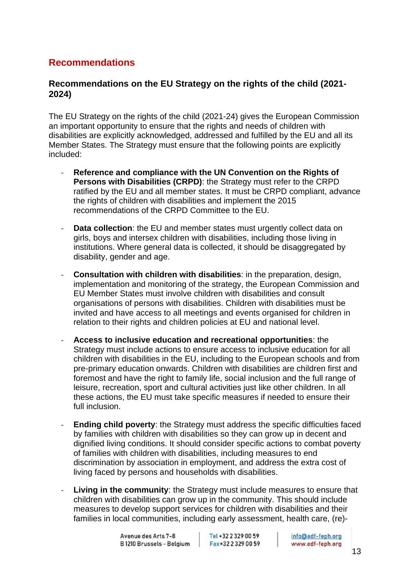# <span id="page-13-0"></span>**Recommendations**

### <span id="page-13-1"></span>**Recommendations on the EU Strategy on the rights of the child (2021- 2024)**

The EU Strategy on the rights of the child (2021-24) gives the European Commission an important opportunity to ensure that the rights and needs of children with disabilities are explicitly acknowledged, addressed and fulfilled by the EU and all its Member States. The Strategy must ensure that the following points are explicitly included:

- **Reference and compliance with the UN Convention on the Rights of Persons with Disabilities (CRPD)**: the Strategy must refer to the CRPD ratified by the EU and all member states. It must be CRPD compliant, advance the rights of children with disabilities and implement the 2015 recommendations of the CRPD Committee to the EU.
- **Data collection**: the EU and member states must urgently collect data on girls, boys and intersex children with disabilities, including those living in institutions. Where general data is collected, it should be disaggregated by disability, gender and age.
- **Consultation with children with disabilities**: in the preparation, design, implementation and monitoring of the strategy, the European Commission and EU Member States must involve children with disabilities and consult organisations of persons with disabilities. Children with disabilities must be invited and have access to all meetings and events organised for children in relation to their rights and children policies at EU and national level.
- **Access to inclusive education and recreational opportunities**: the Strategy must include actions to ensure access to inclusive education for all children with disabilities in the EU, including to the European schools and from pre-primary education onwards. Children with disabilities are children first and foremost and have the right to family life, social inclusion and the full range of leisure, recreation, sport and cultural activities just like other children. In all these actions, the EU must take specific measures if needed to ensure their full inclusion.
- **Ending child poverty:** the Strategy must address the specific difficulties faced by families with children with disabilities so they can grow up in decent and dignified living conditions. It should consider specific actions to combat poverty of families with children with disabilities, including measures to end discrimination by association in employment, and address the extra cost of living faced by persons and households with disabilities.
- **Living in the community:** the Strategy must include measures to ensure that children with disabilities can grow up in the community. This should include measures to develop support services for children with disabilities and their families in local communities, including early assessment, health care, (re)-

Tel +32 2 329 00 59 Fax+32 2 329 00 59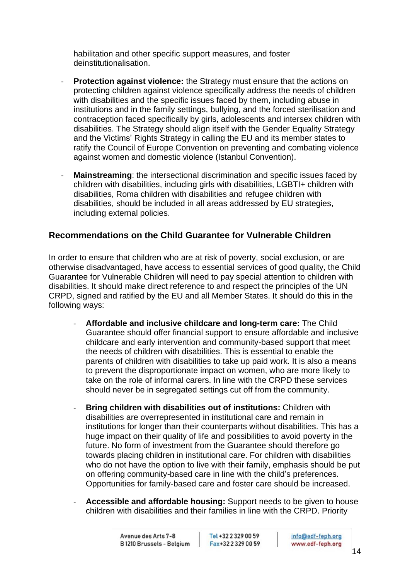habilitation and other specific support measures, and foster deinstitutionalisation.

- **Protection against violence:** the Strategy must ensure that the actions on protecting children against violence specifically address the needs of children with disabilities and the specific issues faced by them, including abuse in institutions and in the family settings, bullying, and the forced sterilisation and contraception faced specifically by girls, adolescents and intersex children with disabilities. The Strategy should align itself with the Gender Equality Strategy and the Victims' Rights Strategy in calling the EU and its member states to ratify the Council of Europe Convention on preventing and combating violence against women and domestic violence (Istanbul Convention).
- **Mainstreaming**: the intersectional discrimination and specific issues faced by children with disabilities, including girls with disabilities, LGBTI+ children with disabilities, Roma children with disabilities and refugee children with disabilities, should be included in all areas addressed by EU strategies, including external policies.

## <span id="page-14-0"></span>**Recommendations on the Child Guarantee for Vulnerable Children**

In order to ensure that children who are at risk of poverty, social exclusion, or are otherwise disadvantaged, have access to essential services of good quality, the Child Guarantee for Vulnerable Children will need to pay special attention to children with disabilities. It should make direct reference to and respect the principles of the UN CRPD, signed and ratified by the EU and all Member States. It should do this in the following ways:

- **Affordable and inclusive childcare and long-term care:** The Child Guarantee should offer financial support to ensure affordable and inclusive childcare and early intervention and community-based support that meet the needs of children with disabilities. This is essential to enable the parents of children with disabilities to take up paid work. It is also a means to prevent the disproportionate impact on women, who are more likely to take on the role of informal carers. In line with the CRPD these services should never be in segregated settings cut off from the community.
- **Bring children with disabilities out of institutions:** Children with disabilities are overrepresented in institutional care and remain in institutions for longer than their counterparts without disabilities. This has a huge impact on their quality of life and possibilities to avoid poverty in the future. No form of investment from the Guarantee should therefore go towards placing children in institutional care. For children with disabilities who do not have the option to live with their family, emphasis should be put on offering community-based care in line with the child's preferences. Opportunities for family-based care and foster care should be increased.
- **Accessible and affordable housing:** Support needs to be given to house children with disabilities and their families in line with the CRPD. Priority

Tel +32 2 329 00 59 Fax+32 2 329 00 59